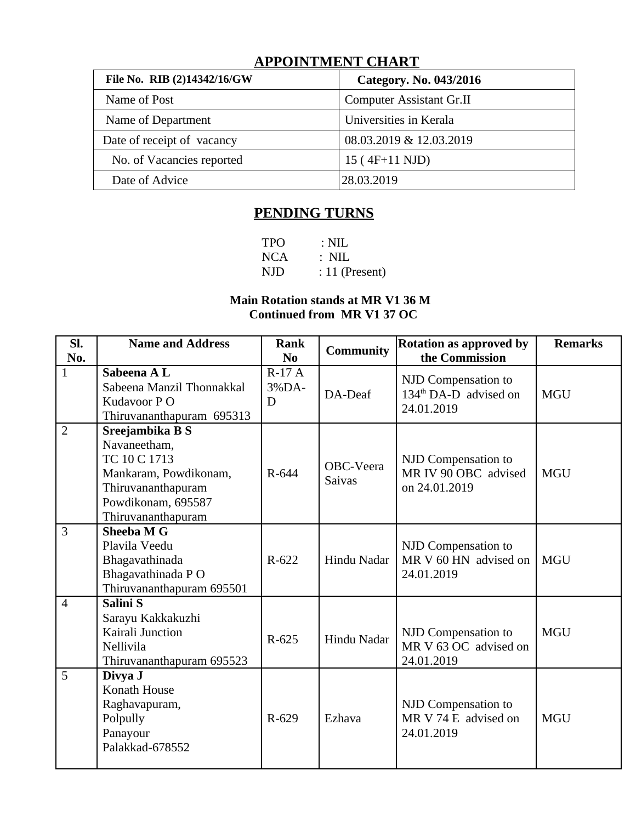# **APPOINTMENT CHART**

| File No. RIB (2)14342/16/GW | Category. No. 043/2016          |
|-----------------------------|---------------------------------|
| Name of Post                | <b>Computer Assistant Gr.II</b> |
| Name of Department          | Universities in Kerala          |
| Date of receipt of vacancy  | 08.03.2019 & 12.03.2019         |
| No. of Vacancies reported   | 15 (4F+11 NJD)                  |
| Date of Advice              | 28.03.2019                      |

## **PENDING TURNS**

| <b>TPO</b> | $\therefore$ NIL |
|------------|------------------|
| <b>NCA</b> | $\therefore$ NIL |
| NJD        | $: 11$ (Present) |

## **Main Rotation stands at MR V1 36 M Continued from MR V1 37 OC**

| Sl.<br>No.     | <b>Name and Address</b>                                                                                                                    | <b>Rank</b><br>N <sub>0</sub> | <b>Community</b>           | <b>Rotation as approved by</b><br>the Commission             | <b>Remarks</b> |
|----------------|--------------------------------------------------------------------------------------------------------------------------------------------|-------------------------------|----------------------------|--------------------------------------------------------------|----------------|
| $\mathbf{1}$   | Sabeena A L<br>Sabeena Manzil Thonnakkal<br>Kudavoor PO<br>Thiruvananthapuram 695313                                                       | $R-17A$<br>3%DA-<br>D         | DA-Deaf                    | NJD Compensation to<br>$134th$ DA-D advised on<br>24.01.2019 | <b>MGU</b>     |
| $\overline{2}$ | Sreejambika B S<br>Navaneetham,<br>TC 10 C 1713<br>Mankaram, Powdikonam,<br>Thiruvananthapuram<br>Powdikonam, 695587<br>Thiruvananthapuram | R-644                         | OBC-Veera<br><b>Saivas</b> | NJD Compensation to<br>MR IV 90 OBC advised<br>on 24.01.2019 | <b>MGU</b>     |
| $\overline{3}$ | Sheeba M G<br>Plavila Veedu<br>Bhagavathinada<br>Bhagavathinada PO<br>Thiruvananthapuram 695501                                            | R-622                         | Hindu Nadar                | NJD Compensation to<br>MR V 60 HN advised on<br>24.01.2019   | <b>MGU</b>     |
| $\overline{4}$ | Salini S<br>Sarayu Kakkakuzhi<br>Kairali Junction<br>Nellivila<br>Thiruvananthapuram 695523                                                | R-625                         | Hindu Nadar                | NJD Compensation to<br>MR V 63 OC advised on<br>24.01.2019   | <b>MGU</b>     |
| 5              | Divya J<br><b>Konath House</b><br>Raghavapuram,<br>Polpully<br>Panayour<br>Palakkad-678552                                                 | R-629                         | Ezhava                     | NJD Compensation to<br>MR V 74 E advised on<br>24.01.2019    | <b>MGU</b>     |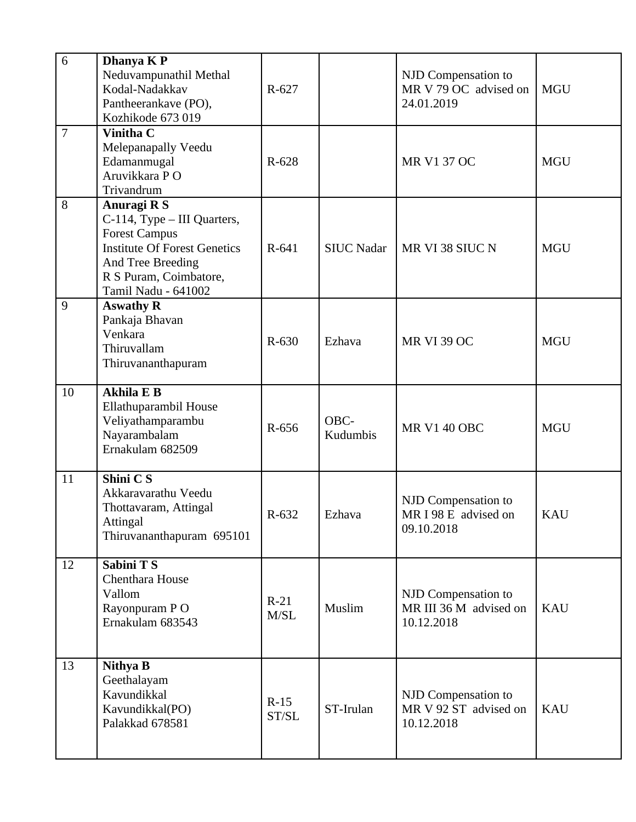| 6              | Dhanya K P<br>Neduvampunathil Methal<br>Kodal-Nadakkav<br>Pantheerankave (PO),<br>Kozhikode 673 019                                                                             | R-627           |                   | NJD Compensation to<br>MR V 79 OC advised on<br>24.01.2019  | <b>MGU</b> |
|----------------|---------------------------------------------------------------------------------------------------------------------------------------------------------------------------------|-----------------|-------------------|-------------------------------------------------------------|------------|
| $\overline{7}$ | <b>Vinitha C</b><br>Melepanapally Veedu<br>Edamanmugal<br>Aruvikkara P O<br>Trivandrum                                                                                          | R-628           |                   | <b>MR V1 37 OC</b>                                          | <b>MGU</b> |
| 8              | Anuragi R S<br>C-114, Type - III Quarters,<br><b>Forest Campus</b><br><b>Institute Of Forest Genetics</b><br>And Tree Breeding<br>R S Puram, Coimbatore,<br>Tamil Nadu - 641002 | R-641           | <b>SIUC Nadar</b> | MR VI 38 SIUC N                                             | <b>MGU</b> |
| 9              | <b>Aswathy R</b><br>Pankaja Bhavan<br>Venkara<br>Thiruvallam<br>Thiruvananthapuram                                                                                              | R-630           | Ezhava            | <b>MR VI 39 OC</b>                                          | <b>MGU</b> |
| 10             | <b>Akhila E B</b><br>Ellathuparambil House<br>Veliyathamparambu<br>Nayarambalam<br>Ernakulam 682509                                                                             | R-656           | OBC-<br>Kudumbis  | <b>MR V1 40 OBC</b>                                         | <b>MGU</b> |
| 11             | Shini C S<br>Akkaravarathu Veedu<br>Thottavaram, Attingal<br>Attingal<br>Thiruvananthapuram 695101                                                                              | R-632           | Ezhava            | NJD Compensation to<br>MR I 98 E advised on<br>09.10.2018   | <b>KAU</b> |
| 12             | Sabini T S<br>Chenthara House<br>Vallom<br>Rayonpuram PO<br>Ernakulam 683543                                                                                                    | $R-21$<br>M/SL  | Muslim            | NJD Compensation to<br>MR III 36 M advised on<br>10.12.2018 | <b>KAU</b> |
| 13             | <b>Nithya B</b><br>Geethalayam<br>Kavundikkal<br>Kavundikkal(PO)<br>Palakkad 678581                                                                                             | $R-15$<br>ST/SL | ST-Irulan         | NJD Compensation to<br>MR V 92 ST advised on<br>10.12.2018  | <b>KAU</b> |